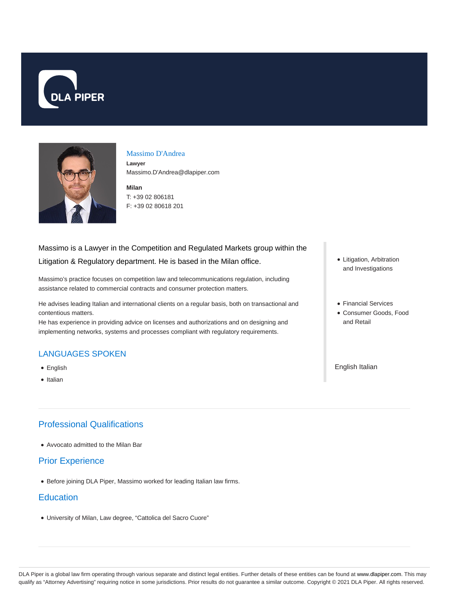



### Massimo D'Andrea

**Lawyer** Massimo.D'Andrea@dlapiper.com

**Milan** T: +39 02 806181 F: +39 02 80618 201

## Massimo is a Lawyer in the Competition and Regulated Markets group within the

## Litigation & Regulatory department. He is based in the Milan office.

Massimo's practice focuses on competition law and telecommunications regulation, including assistance related to commercial contracts and consumer protection matters.

He advises leading Italian and international clients on a regular basis, both on transactional and contentious matters.

He has experience in providing advice on licenses and authorizations and on designing and implementing networks, systems and processes compliant with regulatory requirements.

# LANGUAGES SPOKEN

- English
- Italian

# Professional Qualifications

Avvocato admitted to the Milan Bar

## Prior Experience

Before joining DLA Piper, Massimo worked for leading Italian law firms.

## **Education**

University of Milan, Law degree, "Cattolica del Sacro Cuore"

- Litigation, Arbitration and Investigations
- Financial Services
- Consumer Goods, Food and Retail

English Italian

DLA Piper is a global law firm operating through various separate and distinct legal entities. Further details of these entities can be found at www.dlapiper.com. This may qualify as "Attorney Advertising" requiring notice in some jurisdictions. Prior results do not guarantee a similar outcome. Copyright © 2021 DLA Piper. All rights reserved.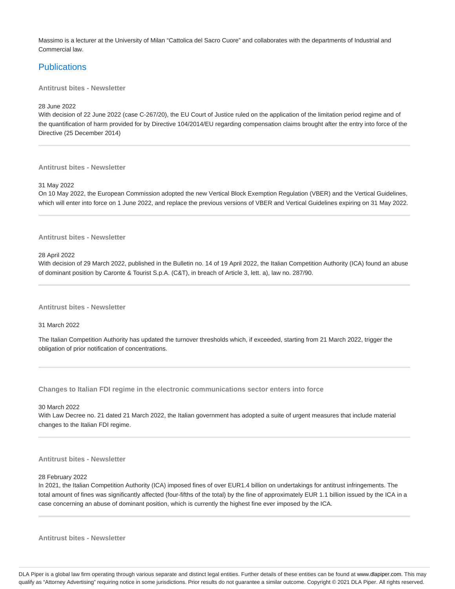Massimo is a lecturer at the University of Milan "Cattolica del Sacro Cuore" and collaborates with the departments of Industrial and Commercial law.

## **Publications**

**Antitrust bites - Newsletter**

28 June 2022

With decision of 22 June 2022 (case C-267/20), the EU Court of Justice ruled on the application of the limitation period regime and of the quantification of harm provided for by Directive 104/2014/EU regarding compensation claims brought after the entry into force of the Directive (25 December 2014)

**Antitrust bites - Newsletter**

31 May 2022

On 10 May 2022, the European Commission adopted the new Vertical Block Exemption Regulation (VBER) and the Vertical Guidelines, which will enter into force on 1 June 2022, and replace the previous versions of VBER and Vertical Guidelines expiring on 31 May 2022.

#### **Antitrust bites - Newsletter**

28 April 2022

With decision of 29 March 2022, published in the Bulletin no. 14 of 19 April 2022, the Italian Competition Authority (ICA) found an abuse of dominant position by Caronte & Tourist S.p.A. (C&T), in breach of Article 3, lett. a), law no. 287/90.

**Antitrust bites - Newsletter**

31 March 2022

The Italian Competition Authority has updated the turnover thresholds which, if exceeded, starting from 21 March 2022, trigger the obligation of prior notification of concentrations.

**Changes to Italian FDI regime in the electronic communications sector enters into force**

30 March 2022

With Law Decree no. 21 dated 21 March 2022, the Italian government has adopted a suite of urgent measures that include material changes to the Italian FDI regime.

**Antitrust bites - Newsletter**

28 February 2022

In 2021, the Italian Competition Authority (ICA) imposed fines of over EUR1.4 billion on undertakings for antitrust infringements. The total amount of fines was significantly affected (four-fifths of the total) by the fine of approximately EUR 1.1 billion issued by the ICA in a case concerning an abuse of dominant position, which is currently the highest fine ever imposed by the ICA.

**Antitrust bites - Newsletter**

DLA Piper is a global law firm operating through various separate and distinct legal entities. Further details of these entities can be found at www.dlapiper.com. This may qualify as "Attorney Advertising" requiring notice in some jurisdictions. Prior results do not guarantee a similar outcome. Copyright @ 2021 DLA Piper. All rights reserved.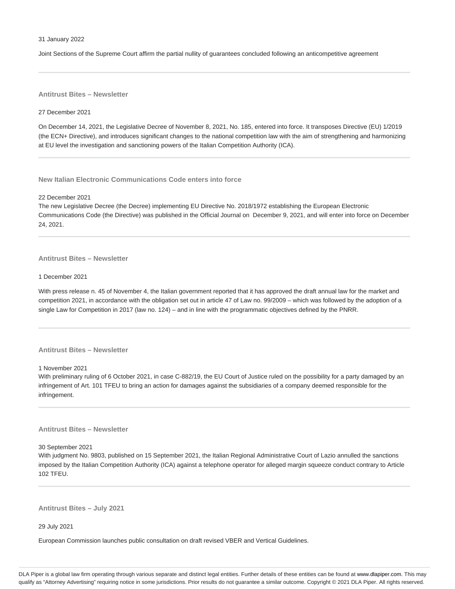#### 31 January 2022

Joint Sections of the Supreme Court affirm the partial nullity of guarantees concluded following an anticompetitive agreement

**Antitrust Bites – Newsletter**

#### 27 December 2021

On December 14, 2021, the Legislative Decree of November 8, 2021, No. 185, entered into force. It transposes Directive (EU) 1/2019 (the ECN+ Directive), and introduces significant changes to the national competition law with the aim of strengthening and harmonizing at EU level the investigation and sanctioning powers of the Italian Competition Authority (ICA).

**New Italian Electronic Communications Code enters into force**

## 22 December 2021

The new Legislative Decree (the Decree) implementing EU Directive No. 2018/1972 establishing the European Electronic Communications Code (the Directive) was published in the Official Journal on December 9, 2021, and will enter into force on December 24, 2021.

### **Antitrust Bites – Newsletter**

#### 1 December 2021

With press release n. 45 of November 4, the Italian government reported that it has approved the draft annual law for the market and competition 2021, in accordance with the obligation set out in article 47 of Law no. 99/2009 – which was followed by the adoption of a single Law for Competition in 2017 (law no. 124) – and in line with the programmatic objectives defined by the PNRR.

## **Antitrust Bites – Newsletter**

1 November 2021

With preliminary ruling of 6 October 2021, in case C-882/19, the EU Court of Justice ruled on the possibility for a party damaged by an infringement of Art. 101 TFEU to bring an action for damages against the subsidiaries of a company deemed responsible for the infringement.

### **Antitrust Bites – Newsletter**

#### 30 September 2021

With judgment No. 9803, published on 15 September 2021, the Italian Regional Administrative Court of Lazio annulled the sanctions imposed by the Italian Competition Authority (ICA) against a telephone operator for alleged margin squeeze conduct contrary to Article 102 TFEU.

**Antitrust Bites – July 2021**

29 July 2021

European Commission launches public consultation on draft revised VBER and Vertical Guidelines.

DLA Piper is a global law firm operating through various separate and distinct legal entities. Further details of these entities can be found at www.dlapiper.com. This may qualify as "Attorney Advertising" requiring notice in some jurisdictions. Prior results do not guarantee a similar outcome. Copyright @ 2021 DLA Piper. All rights reserved.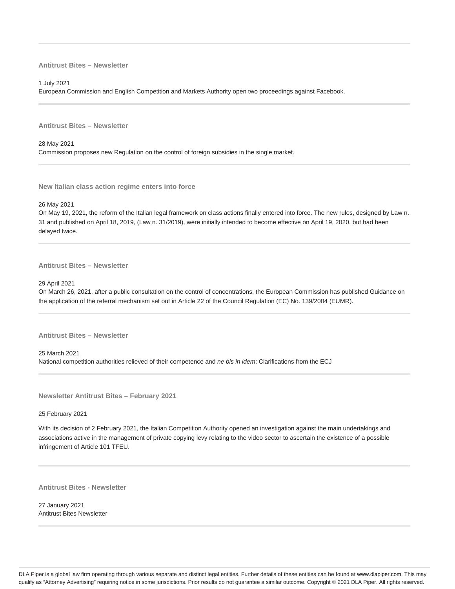## **Antitrust Bites – Newsletter**

1 July 2021

European Commission and English Competition and Markets Authority open two proceedings against Facebook.

**Antitrust Bites – Newsletter**

28 May 2021 Commission proposes new Regulation on the control of foreign subsidies in the single market.

**New Italian class action regime enters into force**

26 May 2021

On May 19, 2021, the reform of the Italian legal framework on class actions finally entered into force. The new rules, designed by Law n. 31 and published on April 18, 2019, (Law n. 31/2019), were initially intended to become effective on April 19, 2020, but had been delayed twice.

**Antitrust Bites – Newsletter**

29 April 2021

On March 26, 2021, after a public consultation on the control of concentrations, the European Commission has published Guidance on the application of the referral mechanism set out in Article 22 of the Council Regulation (EC) No. 139/2004 (EUMR).

**Antitrust Bites – Newsletter**

25 March 2021 National competition authorities relieved of their competence and ne bis in idem: Clarifications from the ECJ

**Newsletter Antitrust Bites – February 2021**

25 February 2021

With its decision of 2 February 2021, the Italian Competition Authority opened an investigation against the main undertakings and associations active in the management of private copying levy relating to the video sector to ascertain the existence of a possible infringement of Article 101 TFEU.

**Antitrust Bites - Newsletter**

27 January 2021 Antitrust Bites Newsletter

DLA Piper is a global law firm operating through various separate and distinct legal entities. Further details of these entities can be found at www.dlapiper.com. This may qualify as "Attorney Advertising" requiring notice in some jurisdictions. Prior results do not guarantee a similar outcome. Copyright @ 2021 DLA Piper. All rights reserved.